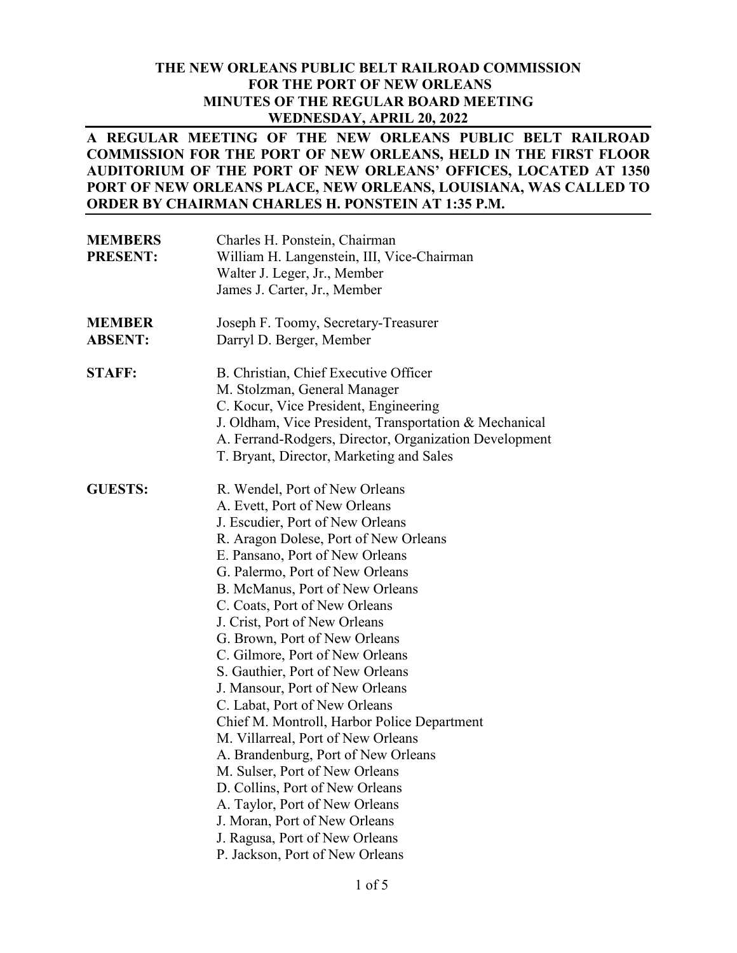#### **THE NEW ORLEANS PUBLIC BELT RAILROAD COMMISSION FOR THE PORT OF NEW ORLEANS MINUTES OF THE REGULAR BOARD MEETING WEDNESDAY, APRIL 20, 2022**

### **A REGULAR MEETING OF THE NEW ORLEANS PUBLIC BELT RAILROAD COMMISSION FOR THE PORT OF NEW ORLEANS, HELD IN THE FIRST FLOOR AUDITORIUM OF THE PORT OF NEW ORLEANS' OFFICES, LOCATED AT 1350 PORT OF NEW ORLEANS PLACE, NEW ORLEANS, LOUISIANA, WAS CALLED TO ORDER BY CHAIRMAN CHARLES H. PONSTEIN AT 1:35 P.M.**

| <b>MEMBERS</b><br><b>PRESENT:</b> | Charles H. Ponstein, Chairman<br>William H. Langenstein, III, Vice-Chairman<br>Walter J. Leger, Jr., Member<br>James J. Carter, Jr., Member                                                                                                                                                                                                                                                                                                                                                                                                                                                                                                                                                                                                                                                                                                  |
|-----------------------------------|----------------------------------------------------------------------------------------------------------------------------------------------------------------------------------------------------------------------------------------------------------------------------------------------------------------------------------------------------------------------------------------------------------------------------------------------------------------------------------------------------------------------------------------------------------------------------------------------------------------------------------------------------------------------------------------------------------------------------------------------------------------------------------------------------------------------------------------------|
| <b>MEMBER</b><br><b>ABSENT:</b>   | Joseph F. Toomy, Secretary-Treasurer<br>Darryl D. Berger, Member                                                                                                                                                                                                                                                                                                                                                                                                                                                                                                                                                                                                                                                                                                                                                                             |
| <b>STAFF:</b>                     | B. Christian, Chief Executive Officer<br>M. Stolzman, General Manager<br>C. Kocur, Vice President, Engineering<br>J. Oldham, Vice President, Transportation & Mechanical<br>A. Ferrand-Rodgers, Director, Organization Development<br>T. Bryant, Director, Marketing and Sales                                                                                                                                                                                                                                                                                                                                                                                                                                                                                                                                                               |
| <b>GUESTS:</b>                    | R. Wendel, Port of New Orleans<br>A. Evett, Port of New Orleans<br>J. Escudier, Port of New Orleans<br>R. Aragon Dolese, Port of New Orleans<br>E. Pansano, Port of New Orleans<br>G. Palermo, Port of New Orleans<br>B. McManus, Port of New Orleans<br>C. Coats, Port of New Orleans<br>J. Crist, Port of New Orleans<br>G. Brown, Port of New Orleans<br>C. Gilmore, Port of New Orleans<br>S. Gauthier, Port of New Orleans<br>J. Mansour, Port of New Orleans<br>C. Labat, Port of New Orleans<br>Chief M. Montroll, Harbor Police Department<br>M. Villarreal, Port of New Orleans<br>A. Brandenburg, Port of New Orleans<br>M. Sulser, Port of New Orleans<br>D. Collins, Port of New Orleans<br>A. Taylor, Port of New Orleans<br>J. Moran, Port of New Orleans<br>J. Ragusa, Port of New Orleans<br>P. Jackson, Port of New Orleans |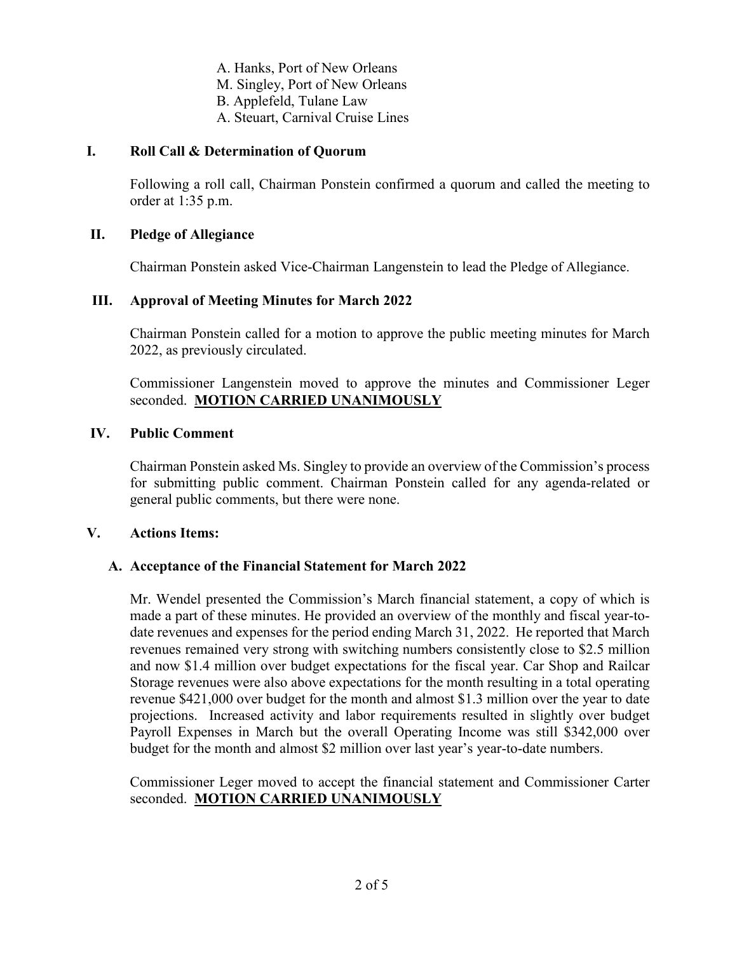- A. Hanks, Port of New Orleans
- M. Singley, Port of New Orleans
- B. Applefeld, Tulane Law
- A. Steuart, Carnival Cruise Lines

## **I. Roll Call & Determination of Quorum**

Following a roll call, Chairman Ponstein confirmed a quorum and called the meeting to order at 1:35 p.m.

### **II. Pledge of Allegiance**

Chairman Ponstein asked Vice-Chairman Langenstein to lead the Pledge of Allegiance.

## **III. Approval of Meeting Minutes for March 2022**

Chairman Ponstein called for a motion to approve the public meeting minutes for March 2022, as previously circulated.

Commissioner Langenstein moved to approve the minutes and Commissioner Leger seconded. **MOTION CARRIED UNANIMOUSLY**

### **IV. Public Comment**

Chairman Ponstein asked Ms. Singley to provide an overview of the Commission's process for submitting public comment. Chairman Ponstein called for any agenda-related or general public comments, but there were none.

#### **V. Actions Items:**

## **A. Acceptance of the Financial Statement for March 2022**

Mr. Wendel presented the Commission's March financial statement, a copy of which is made a part of these minutes. He provided an overview of the monthly and fiscal year-todate revenues and expenses for the period ending March 31, 2022. He reported that March revenues remained very strong with switching numbers consistently close to \$2.5 million and now \$1.4 million over budget expectations for the fiscal year. Car Shop and Railcar Storage revenues were also above expectations for the month resulting in a total operating revenue \$421,000 over budget for the month and almost \$1.3 million over the year to date projections. Increased activity and labor requirements resulted in slightly over budget Payroll Expenses in March but the overall Operating Income was still \$342,000 over budget for the month and almost \$2 million over last year's year-to-date numbers.

Commissioner Leger moved to accept the financial statement and Commissioner Carter seconded. **MOTION CARRIED UNANIMOUSLY**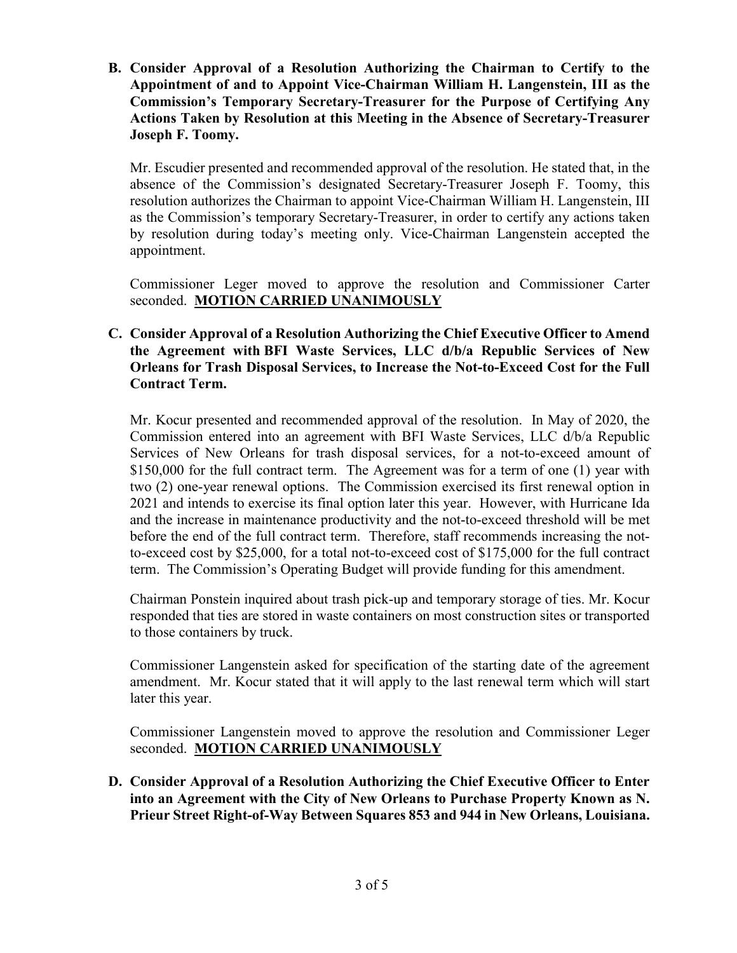**B. Consider Approval of a Resolution Authorizing the Chairman to Certify to the Appointment of and to Appoint Vice-Chairman William H. Langenstein, III as the Commission's Temporary Secretary-Treasurer for the Purpose of Certifying Any Actions Taken by Resolution at this Meeting in the Absence of Secretary-Treasurer Joseph F. Toomy.** 

Mr. Escudier presented and recommended approval of the resolution. He stated that, in the absence of the Commission's designated Secretary-Treasurer Joseph F. Toomy, this resolution authorizes the Chairman to appoint Vice-Chairman William H. Langenstein, III as the Commission's temporary Secretary-Treasurer, in order to certify any actions taken by resolution during today's meeting only. Vice-Chairman Langenstein accepted the appointment.

Commissioner Leger moved to approve the resolution and Commissioner Carter seconded. **MOTION CARRIED UNANIMOUSLY**

## **C. Consider Approval of a Resolution Authorizing the Chief Executive Officer to Amend the Agreement with BFI Waste Services, LLC d/b/a Republic Services of New Orleans for Trash Disposal Services, to Increase the Not-to-Exceed Cost for the Full Contract Term.**

Mr. Kocur presented and recommended approval of the resolution. In May of 2020, the Commission entered into an agreement with BFI Waste Services, LLC d/b/a Republic Services of New Orleans for trash disposal services, for a not-to-exceed amount of \$150,000 for the full contract term. The Agreement was for a term of one (1) year with two (2) one-year renewal options. The Commission exercised its first renewal option in 2021 and intends to exercise its final option later this year. However, with Hurricane Ida and the increase in maintenance productivity and the not-to-exceed threshold will be met before the end of the full contract term. Therefore, staff recommends increasing the notto-exceed cost by \$25,000, for a total not-to-exceed cost of \$175,000 for the full contract term. The Commission's Operating Budget will provide funding for this amendment.

Chairman Ponstein inquired about trash pick-up and temporary storage of ties. Mr. Kocur responded that ties are stored in waste containers on most construction sites or transported to those containers by truck.

Commissioner Langenstein asked for specification of the starting date of the agreement amendment. Mr. Kocur stated that it will apply to the last renewal term which will start later this year.

Commissioner Langenstein moved to approve the resolution and Commissioner Leger seconded. **MOTION CARRIED UNANIMOUSLY**

**D. Consider Approval of a Resolution Authorizing the Chief Executive Officer to Enter into an Agreement with the City of New Orleans to Purchase Property Known as N. Prieur Street Right-of-Way Between Squares 853 and 944 in New Orleans, Louisiana.**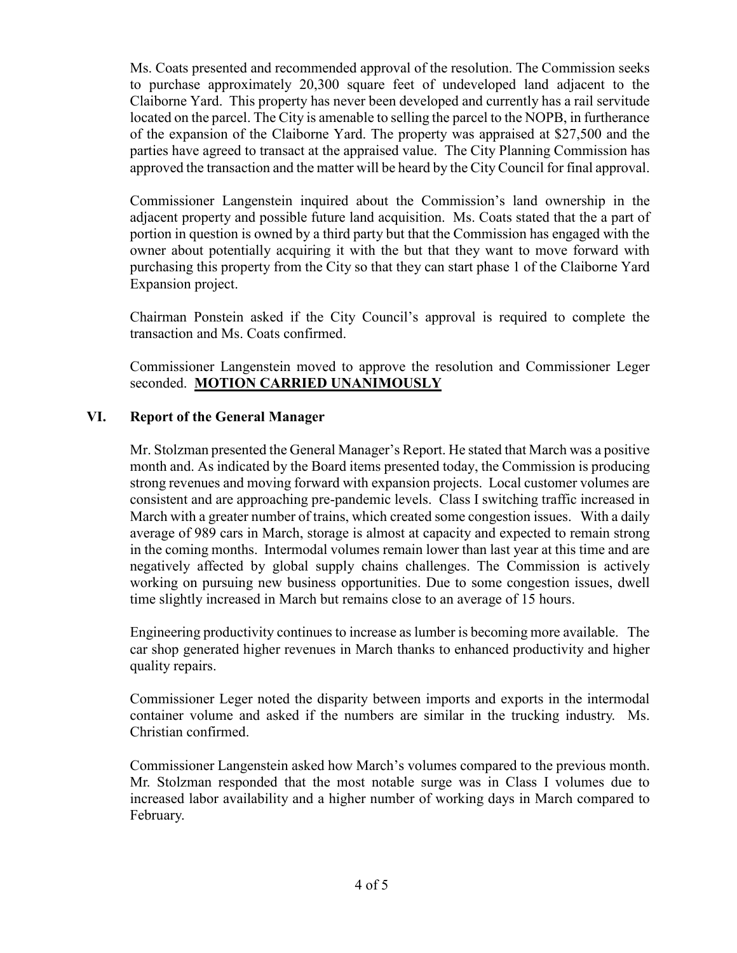Ms. Coats presented and recommended approval of the resolution. The Commission seeks to purchase approximately 20,300 square feet of undeveloped land adjacent to the Claiborne Yard. This property has never been developed and currently has a rail servitude located on the parcel. The City is amenable to selling the parcel to the NOPB, in furtherance of the expansion of the Claiborne Yard. The property was appraised at \$27,500 and the parties have agreed to transact at the appraised value. The City Planning Commission has approved the transaction and the matter will be heard by the City Council for final approval.

Commissioner Langenstein inquired about the Commission's land ownership in the adjacent property and possible future land acquisition. Ms. Coats stated that the a part of portion in question is owned by a third party but that the Commission has engaged with the owner about potentially acquiring it with the but that they want to move forward with purchasing this property from the City so that they can start phase 1 of the Claiborne Yard Expansion project.

Chairman Ponstein asked if the City Council's approval is required to complete the transaction and Ms. Coats confirmed.

Commissioner Langenstein moved to approve the resolution and Commissioner Leger seconded. **MOTION CARRIED UNANIMOUSLY**

## **VI. Report of the General Manager**

Mr. Stolzman presented the General Manager's Report. He stated that March was a positive month and. As indicated by the Board items presented today, the Commission is producing strong revenues and moving forward with expansion projects. Local customer volumes are consistent and are approaching pre-pandemic levels. Class I switching traffic increased in March with a greater number of trains, which created some congestion issues. With a daily average of 989 cars in March, storage is almost at capacity and expected to remain strong in the coming months. Intermodal volumes remain lower than last year at this time and are negatively affected by global supply chains challenges. The Commission is actively working on pursuing new business opportunities. Due to some congestion issues, dwell time slightly increased in March but remains close to an average of 15 hours.

Engineering productivity continues to increase as lumber is becoming more available. The car shop generated higher revenues in March thanks to enhanced productivity and higher quality repairs.

Commissioner Leger noted the disparity between imports and exports in the intermodal container volume and asked if the numbers are similar in the trucking industry. Ms. Christian confirmed.

Commissioner Langenstein asked how March's volumes compared to the previous month. Mr. Stolzman responded that the most notable surge was in Class I volumes due to increased labor availability and a higher number of working days in March compared to February.